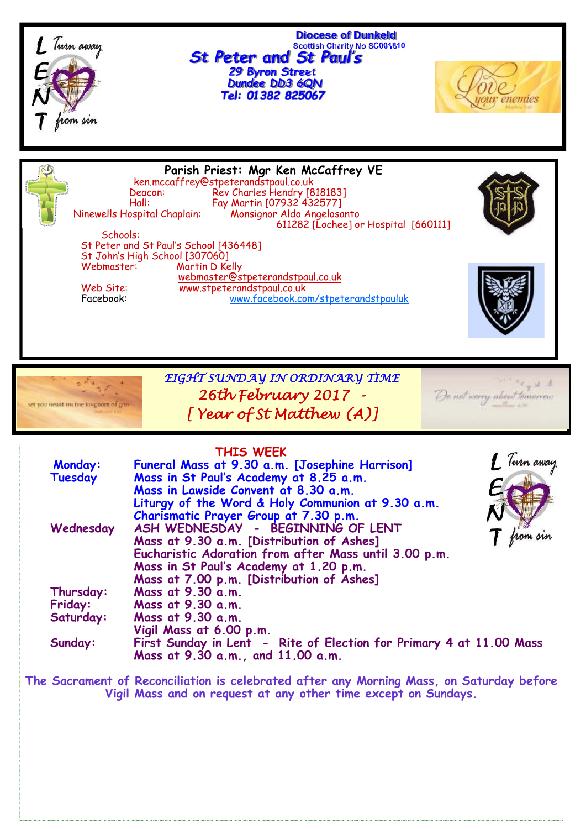

 **Diocese of Dunkeld Scottish Charity No SC001810** *St Peter and St Paul's 29 Byron Street Dundee DD3 6QN*



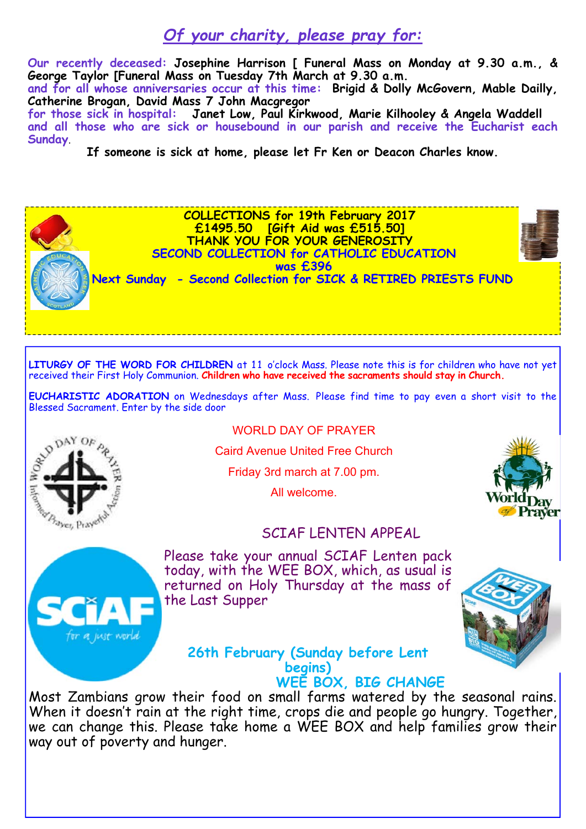# *Of your charity, please pray for:*

**Our recently deceased: Josephine Harrison [ Funeral Mass on Monday at 9.30 a.m., & George Taylor [Funeral Mass on Tuesday 7th March at 9.30 a.m.**

**and for all whose anniversaries occur at this time: Brigid & Dolly McGovern, Mable Dailly, Catherine Brogan, David Mass 7 John Macgregor** 

**for those sick in hospital: Janet Low, Paul Kirkwood, Marie Kilhooley & Angela Waddell and all those who are sick or housebound in our parish and receive the Eucharist each Sunday**.

**If someone is sick at home, please let Fr Ken or Deacon Charles know.** 

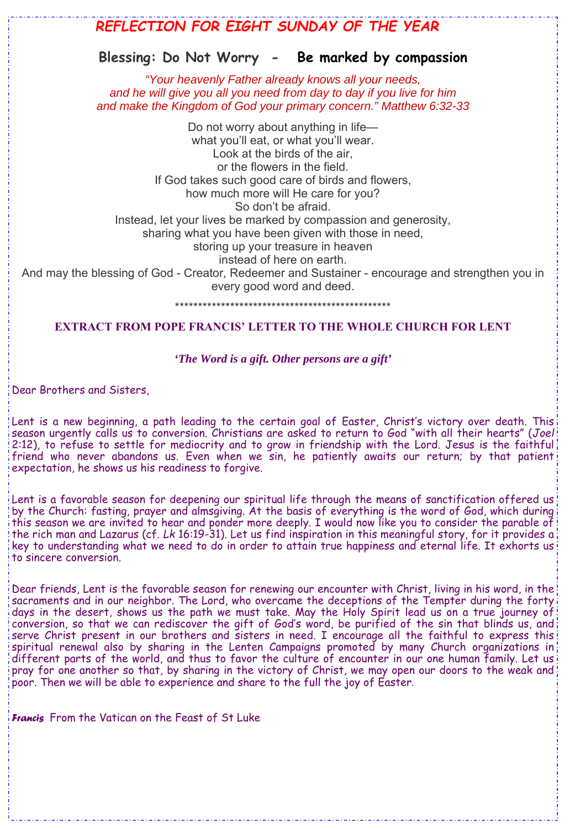# *REFLECTION FOR EIGHT SUNDAY OF THE YEAR*  **Blessing: Do Not Worry - Be marked by compassion** *"Your heavenly Father already knows all your needs, and he will give you all you need from day to day if you live for him and make the Kingdom of God your primary concern." Matthew 6:32-33* Do not worry about anything in life what you'll eat, or what you'll wear. Look at the birds of the air, or the flowers in the field. If God takes such good care of birds and flowers, how much more will He care for you? So don't be afraid. Instead, let your lives be marked by compassion and generosity, sharing what you have been given with those in need, storing up your treasure in heaven instead of here on earth. And may the blessing of God - Creator, Redeemer and Sustainer - encourage and strengthen you in every good word and deed. \*\*\*\*\*\*\*\*\*\*\*\*\*\*\*\*\*\*\*\*\*\*\*\*\*\*\*\*\*\*\*\*\*\*\*\*\*\*\*\*\*\*\*\*\*\*\*

# **EXTRACT FROM POPE FRANCIS' LETTER TO THE WHOLE CHURCH FOR LENT**

## *'The Word is a gift. Other persons are a gift'*

Dear Brothers and Sisters,

Lent is a new beginning, a path leading to the certain goal of Easter, Christ's victory over death. This season urgently calls us to conversion. Christians are asked to return to God "with all their hearts" (*Joel* 2:12), to refuse to settle for mediocrity and to grow in friendship with the Lord. Jesus is the faithful friend who never abandons us. Even when we sin, he patiently awaits our return; by that patient! expectation, he shows us his readiness to forgive.

Lent is a favorable season for deepening our spiritual life through the means of sanctification offered us by the Church: fasting, prayer and almsgiving. At the basis of everything is the word of God, which during this season we are invited to hear and ponder more deeply. I would now like you to consider the parable of the rich man and Lazarus (cf. *Lk* 16:19-31). Let us find inspiration in this meaningful story, for it provides a key to understanding what we need to do in order to attain true happiness and eternal life. It exhorts us to sincere conversion.

Dear friends, Lent is the favorable season for renewing our encounter with Christ, living in his word, in the sacraments and in our neighbor. The Lord, who overcame the deceptions of the Tempter during the forty days in the desert, shows us the path we must take. May the Holy Spirit lead us on a true journey of conversion, so that we can rediscover the gift of God's word, be purified of the sin that blinds us, and serve Christ present in our brothers and sisters in need. I encourage all the faithful to express this spiritual renewal also by sharing in the Lenten Campaigns promoted by many Church organizations in different parts of the world, and thus to favor the culture of encounter in our one human family. Let us pray for one another so that, by sharing in the victory of Christ, we may open our doors to the weak and poor. Then we will be able to experience and share to the full the joy of Easter.

*Francis* From the Vatican on the Feast of St Luke